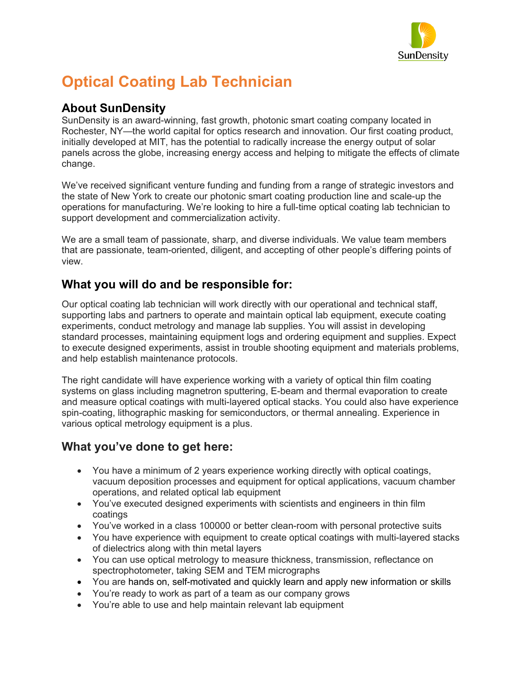

# **Optical Coating Lab Technician**

#### **About SunDensity**

SunDensity is an award-winning, fast growth, photonic smart coating company located in Rochester, NY—the world capital for optics research and innovation. Our first coating product, initially developed at MIT, has the potential to radically increase the energy output of solar panels across the globe, increasing energy access and helping to mitigate the effects of climate change.

We've received significant venture funding and funding from a range of strategic investors and the state of New York to create our photonic smart coating production line and scale-up the operations for manufacturing. We're looking to hire a full-time optical coating lab technician to support development and commercialization activity.

We are a small team of passionate, sharp, and diverse individuals. We value team members that are passionate, team-oriented, diligent, and accepting of other people's differing points of view.

## **What you will do and be responsible for:**

Our optical coating lab technician will work directly with our operational and technical staff, supporting labs and partners to operate and maintain optical lab equipment, execute coating experiments, conduct metrology and manage lab supplies. You will assist in developing standard processes, maintaining equipment logs and ordering equipment and supplies. Expect to execute designed experiments, assist in trouble shooting equipment and materials problems, and help establish maintenance protocols.

The right candidate will have experience working with a variety of optical thin film coating systems on glass including magnetron sputtering, E-beam and thermal evaporation to create and measure optical coatings with multi-layered optical stacks. You could also have experience spin-coating, lithographic masking for semiconductors, or thermal annealing. Experience in various optical metrology equipment is a plus.

## **What you've done to get here:**

- You have a minimum of 2 years experience working directly with optical coatings, vacuum deposition processes and equipment for optical applications, vacuum chamber operations, and related optical lab equipment
- You've executed designed experiments with scientists and engineers in thin film coatings
- You've worked in a class 100000 or better clean-room with personal protective suits
- You have experience with equipment to create optical coatings with multi-layered stacks of dielectrics along with thin metal layers
- You can use optical metrology to measure thickness, transmission, reflectance on spectrophotometer, taking SEM and TEM micrographs
- You are hands on, self-motivated and quickly learn and apply new information or skills
- You're ready to work as part of a team as our company grows
- You're able to use and help maintain relevant lab equipment